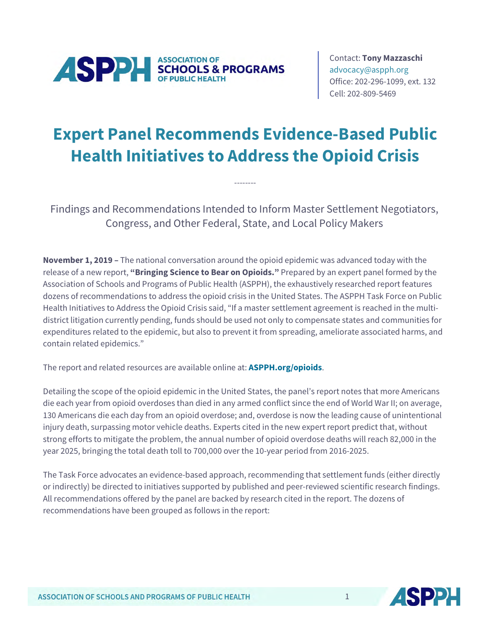

Contact: **Tony Mazzaschi** [advocacy@aspph.org](mailto:advocacy@aspph.org) Office: 202-296-1099, ext. 132 Cell: 202-809-5469

## **Expert Panel Recommends Evidence-Based Public Health Initiatives to Address the Opioid Crisis**

Findings and Recommendations Intended to Inform Master Settlement Negotiators, Congress, and Other Federal, State, and Local Policy Makers

--------

**November 1, 2019 –** The national conversation around the opioid epidemic was advanced today with the release of a new report, **"Bringing Science to Bear on Opioids."** Prepared by an expert panel formed by the Association of Schools and Programs of Public Health (ASPPH), the exhaustively researched report features dozens of recommendations to address the opioid crisis in the United States. The ASPPH Task Force on Public Health Initiatives to Address the Opioid Crisis said, "If a master settlement agreement is reached in the multidistrict litigation currently pending, funds should be used not only to compensate states and communities for expenditures related to the epidemic, but also to prevent it from spreading, ameliorate associated harms, and contain related epidemics."

The report and related resources are available online at: **[ASPPH.org/opioids](http://www.aspph.org/opioids)**.

Detailing the scope of the opioid epidemic in the United States, the panel's report notes that more Americans die each year from opioid overdoses than died in any armed conflict since the end of World War II; on average, 130 Americans die each day from an opioid overdose; and, overdose is now the leading cause of unintentional injury death, surpassing motor vehicle deaths. Experts cited in the new expert report predict that, without strong efforts to mitigate the problem, the annual number of opioid overdose deaths will reach 82,000 in the year 2025, bringing the total death toll to 700,000 over the 10-year period from 2016-2025.

The Task Force advocates an evidence-based approach, recommending that settlement funds (either directly or indirectly) be directed to initiatives supported by published and peer-reviewed scientific research findings. All recommendations offered by the panel are backed by research cited in the report. The dozens of recommendations have been grouped as follows in the report:

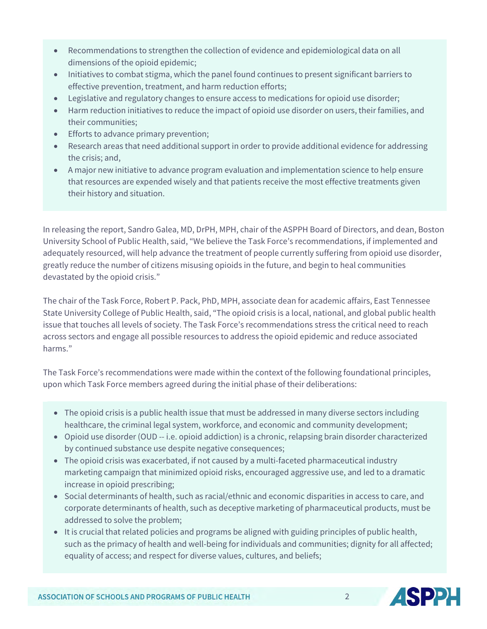- Recommendations to strengthen the collection of evidence and epidemiological data on all dimensions of the opioid epidemic;
- Initiatives to combat stigma, which the panel found continues to present significant barriers to effective prevention, treatment, and harm reduction efforts;
- Legislative and regulatory changes to ensure access to medications for opioid use disorder;
- Harm reduction initiatives to reduce the impact of opioid use disorder on users, their families, and their communities;
- Efforts to advance primary prevention;
- Research areas that need additional support in order to provide additional evidence for addressing the crisis; and,
- A major new initiative to advance program evaluation and implementation science to help ensure that resources are expended wisely and that patients receive the most effective treatments given their history and situation.

In releasing the report, Sandro Galea, MD, DrPH, MPH, chair of the ASPPH Board of Directors, and dean, Boston University School of Public Health, said, "We believe the Task Force's recommendations, if implemented and adequately resourced, will help advance the treatment of people currently suffering from opioid use disorder, greatly reduce the number of citizens misusing opioids in the future, and begin to heal communities devastated by the opioid crisis."

The chair of the Task Force, Robert P. Pack, PhD, MPH, associate dean for academic affairs, East Tennessee State University College of Public Health, said, "The opioid crisis is a local, national, and global public health issue that touches all levels of society. The Task Force's recommendations stress the critical need to reach across sectors and engage all possible resources to address the opioid epidemic and reduce associated harms."

The Task Force's recommendations were made within the context of the following foundational principles, upon which Task Force members agreed during the initial phase of their deliberations:

- The opioid crisis is a public health issue that must be addressed in many diverse sectors including healthcare, the criminal legal system, workforce, and economic and community development;
- Opioid use disorder (OUD -- i.e. opioid addiction) is a chronic, relapsing brain disorder characterized by continued substance use despite negative consequences;
- The opioid crisis was exacerbated, if not caused by a multi-faceted pharmaceutical industry marketing campaign that minimized opioid risks, encouraged aggressive use, and led to a dramatic increase in opioid prescribing;
- Social determinants of health, such as racial/ethnic and economic disparities in access to care, and corporate determinants of health, such as deceptive marketing of pharmaceutical products, must be addressed to solve the problem;
- It is crucial that related policies and programs be aligned with guiding principles of public health, such as the primacy of health and well-being for individuals and communities; dignity for all affected; equality of access; and respect for diverse values, cultures, and beliefs;

 $\mathfrak{D}$